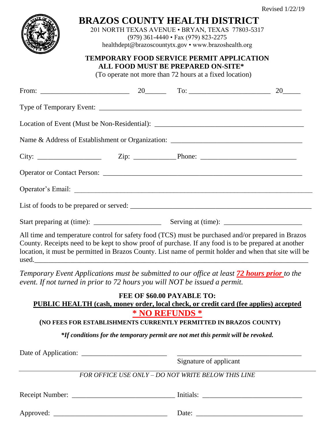

## **BRAZOS COUNTY HEALTH DISTRICT**

201 NORTH TEXAS AVENUE • BRYAN, TEXAS 77803-5317 (979) 361-4440 • Fax (979) 823-2275

healthdept@brazoscountytx.gov • www.brazoshealth.org

## **TEMPORARY FOOD SERVICE PERMIT APPLICATION ALL FOOD MUST BE PREPARED ON-SITE\***

(To operate not more than 72 hours at a fixed location)

|                                                                                                                                                                                                                                                                                                                      |  | 20 |
|----------------------------------------------------------------------------------------------------------------------------------------------------------------------------------------------------------------------------------------------------------------------------------------------------------------------|--|----|
|                                                                                                                                                                                                                                                                                                                      |  |    |
|                                                                                                                                                                                                                                                                                                                      |  |    |
|                                                                                                                                                                                                                                                                                                                      |  |    |
|                                                                                                                                                                                                                                                                                                                      |  |    |
|                                                                                                                                                                                                                                                                                                                      |  |    |
|                                                                                                                                                                                                                                                                                                                      |  |    |
|                                                                                                                                                                                                                                                                                                                      |  |    |
|                                                                                                                                                                                                                                                                                                                      |  |    |
| All time and temperature control for safety food (TCS) must be purchased and/or prepared in Brazos<br>County. Receipts need to be kept to show proof of purchase. If any food is to be prepared at another<br>location, it must be permitted in Brazos County. List name of permit holder and when that site will be |  |    |

*Temporary Event Applications must be submitted to our office at least 72 hours prior to the event. If not turned in prior to 72 hours you will NOT be issued a permit.*

**FEE OF \$60.00 PAYABLE TO: PUBLIC HEALTH (cash, money order, local check, or credit card (fee applies) accepted \* NO REFUNDS \***

 **(NO FEES FOR ESTABLISHMENTS CURRENTLY PERMITTED IN BRAZOS COUNTY)**

*\*If conditions for the temporary permit are not met this permit will be revoked.*

Date of Application: \_\_\_\_\_\_\_\_\_\_\_\_\_\_\_\_\_\_\_\_\_\_\_\_ \_\_\_\_\_\_\_\_\_\_\_\_\_\_\_\_\_\_\_\_\_\_\_\_\_\_\_\_\_\_\_\_\_\_\_

Signature of applicant

*FOR OFFICE USE ONLY – DO NOT WRITE BELOW THIS LINE*

Receipt Number: \_\_\_\_\_\_\_\_\_\_\_\_\_\_\_\_\_\_\_\_\_\_\_\_\_\_\_\_\_ Initials: \_\_\_\_\_\_\_\_\_\_\_\_\_\_\_\_\_\_\_\_\_\_\_\_\_\_\_\_